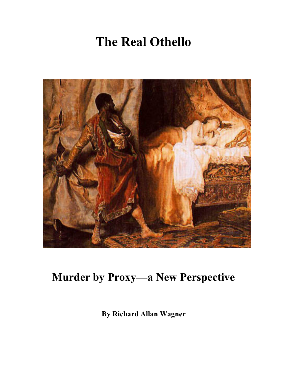# **The Real Othello**



## **Murder by Proxy—a New Perspective**

**By Richard Allan Wagner**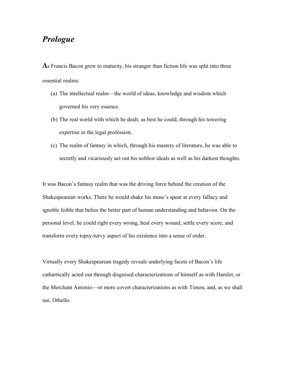### *Prologue*

**A**s Francis Bacon grew to maturity, his stranger than fiction life was split into three essential realms:

- (a) The intellectual realm—the world of ideas, knowledge and wisdom which governed his very essence.
- (b) The real world with which he dealt, as best he could, through his towering expertise in the legal profession.
- (c) The realm of fantasy in which, through his mastery of literature, he was able to secretly and vicariously act out his noblest ideals as well as his darkest thoughts.

It was Bacon's fantasy realm that was the driving force behind the creation of the Shakespearean works. There he would shake his muse's spear at every fallacy and ignoble foible that belies the better part of human understanding and behavior. On the personal level, he could right every wrong, heal every wound, settle every score, and transform every topsy-turvy aspect of his existence into a sense of order.

Virtually every Shakespearean tragedy reveals underlying facets of Bacon's life cathartically acted out through disguised characterizations of himself as with Hamlet, or the Merchant Antonio—or more covert characterizations as with Timon, and, as we shall see, Othello.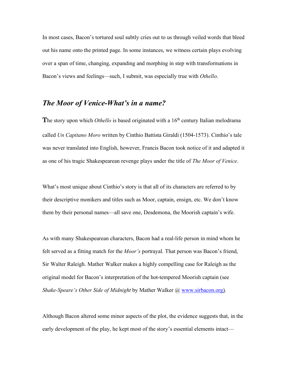In most cases, Bacon's tortured soul subtly cries out to us through veiled words that bleed out his name onto the printed page. In some instances, we witness certain plays evolving over a span of time, changing, expanding and morphing in step with transformations in Bacon's views and feelings—such, I submit, was especially true with *Othello*.

#### *The Moor of Venice-What's in a name?*

The story upon which *Othello* is based originated with a 16<sup>th</sup> century Italian melodrama called *Un Capitano Moro* written by Cinthio Battista Giraldi (1504-1573). Cinthio's tale was never translated into English, however, Francis Bacon took notice of it and adapted it as one of his tragic Shakespearean revenge plays under the title of *The Moor of Venice*.

What's most unique about Cinthio's story is that all of its characters are referred to by their descriptive monikers and titles such as Moor, captain, ensign, etc. We don't know them by their personal names—all save one, Desdemona, the Moorish captain's wife.

As with many Shakespearean characters, Bacon had a real-life person in mind whom he felt served as a fitting match for the *Moor's* portrayal. That person was Bacon's friend, Sir Walter Raleigh. Mather Walker makes a highly compelling case for Raleigh as the original model for Bacon's interpretation of the hot-tempered Moorish captain (see *Shake-Speare's Other Side of Midnight* by Mather Walker @ www.sirbacon.org).

Although Bacon altered some minor aspects of the plot, the evidence suggests that, in the early development of the play, he kept most of the story's essential elements intact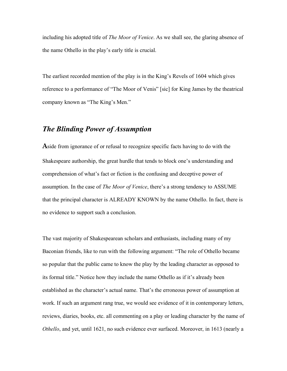including his adopted title of *The Moor of Venice*. As we shall see, the glaring absence of the name Othello in the play's early title is crucial.

The earliest recorded mention of the play is in the King's Revels of 1604 which gives reference to a performance of "The Moor of Venis" [sic] for King James by the theatrical company known as "The King's Men."

#### *The Blinding Power of Assumption*

**A**side from ignorance of or refusal to recognize specific facts having to do with the Shakespeare authorship, the great hurdle that tends to block one's understanding and comprehension of what's fact or fiction is the confusing and deceptive power of assumption. In the case of *The Moor of Venice*, there's a strong tendency to ASSUME that the principal character is ALREADY KNOWN by the name Othello. In fact, there is no evidence to support such a conclusion.

The vast majority of Shakespearean scholars and enthusiasts, including many of my Baconian friends, like to run with the following argument: "The role of Othello became so popular that the public came to know the play by the leading character as opposed to its formal title." Notice how they include the name Othello as if it's already been established as the character's actual name. That's the erroneous power of assumption at work. If such an argument rang true, we would see evidence of it in contemporary letters, reviews, diaries, books, etc. all commenting on a play or leading character by the name of *Othello*, and yet, until 1621, no such evidence ever surfaced. Moreover, in 1613 (nearly a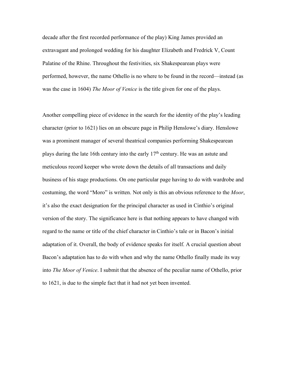decade after the first recorded performance of the play) King James provided an extravagant and prolonged wedding for his daughter Elizabeth and Fredrick V, Count Palatine of the Rhine. Throughout the festivities, six Shakespearean plays were performed, however, the name Othello is no where to be found in the record—instead (as was the case in 1604) *The Moor of Venice* is the title given for one of the plays.

Another compelling piece of evidence in the search for the identity of the play's leading character (prior to 1621) lies on an obscure page in Philip Henslowe's diary. Henslowe was a prominent manager of several theatrical companies performing Shakespearean plays during the late 16th century into the early  $17<sup>th</sup>$  century. He was an astute and meticulous record keeper who wrote down the details of all transactions and daily business of his stage productions. On one particular page having to do with wardrobe and costuming, the word "Moro" is written. Not only is this an obvious reference to the *Moor*, it's also the exact designation for the principal character as used in Cinthio's original version of the story. The significance here is that nothing appears to have changed with regard to the name or title of the chief character in Cinthio's tale or in Bacon's initial adaptation of it. Overall, the body of evidence speaks for itself. A crucial question about Bacon's adaptation has to do with when and why the name Othello finally made its way into *The Moor of Venice*. I submit that the absence of the peculiar name of Othello, prior to 1621, is due to the simple fact that it had not yet been invented.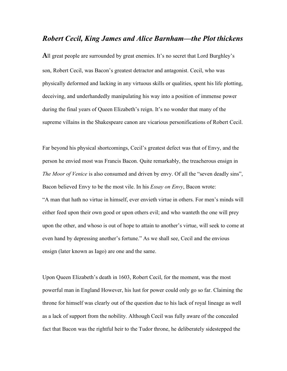#### *Robert Cecil, King James and Alice Barnham—the Plot thickens*

All great people are surrounded by great enemies. It's no secret that Lord Burghley's son, Robert Cecil, was Bacon's greatest detractor and antagonist. Cecil, who was physically deformed and lacking in any virtuous skills or qualities, spent his life plotting, deceiving, and underhandedly manipulating his way into a position of immense power during the final years of Queen Elizabeth's reign. It's no wonder that many of the supreme villains in the Shakespeare canon are vicarious personifications of Robert Cecil.

Far beyond his physical shortcomings, Cecil's greatest defect was that of Envy, and the person he envied most was Francis Bacon. Quite remarkably, the treacherous ensign in *The Moor of Venice* is also consumed and driven by envy. Of all the "seven deadly sins", Bacon believed Envy to be the most vile. In his *Essay on Envy*, Bacon wrote: "A man that hath no virtue in himself, ever envieth virtue in others. For men's minds will either feed upon their own good or upon others evil; and who wanteth the one will prey upon the other, and whoso is out of hope to attain to another's virtue, will seek to come at even hand by depressing another's fortune." As we shall see, Cecil and the envious ensign (later known as Iago) are one and the same.

Upon Queen Elizabeth's death in 1603, Robert Cecil, for the moment, was the most powerful man in England However, his lust for power could only go so far. Claiming the throne for himself was clearly out of the question due to his lack of royal lineage as well as a lack of support from the nobility. Although Cecil was fully aware of the concealed fact that Bacon was the rightful heir to the Tudor throne, he deliberately sidestepped the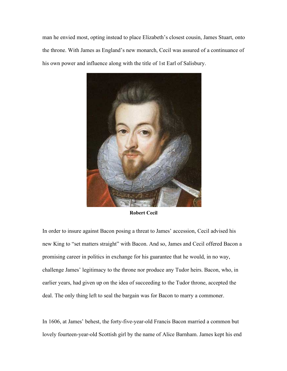man he envied most, opting instead to place Elizabeth's closest cousin, James Stuart, onto the throne. With James as England's new monarch, Cecil was assured of a continuance of his own power and influence along with the title of 1st Earl of Salisbury.



**Robert Cecil**

In order to insure against Bacon posing a threat to James' accession, Cecil advised his new King to "set matters straight" with Bacon. And so, James and Cecil offered Bacon a promising career in politics in exchange for his guarantee that he would, in no way, challenge James' legitimacy to the throne nor produce any Tudor heirs. Bacon, who, in earlier years, had given up on the idea of succeeding to the Tudor throne, accepted the deal. The only thing left to seal the bargain was for Bacon to marry a commoner.

In 1606, at James' behest, the forty-five-year-old Francis Bacon married a common but lovely fourteen-year-old Scottish girl by the name of Alice Barnham. James kept his end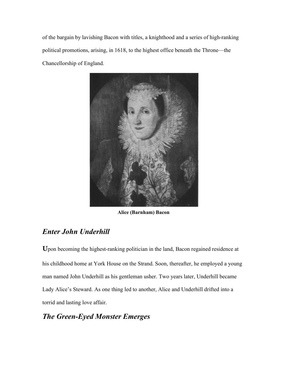of the bargain by lavishing Bacon with titles, a knighthood and a series of high-ranking political promotions, arising, in 1618, to the highest office beneath the Throne—the Chancellorship of England.



**Alice (Barnham) Bacon**

## *Enter John Underhill*

**U**pon becoming the highest-ranking politician in the land, Bacon regained residence at his childhood home at York House on the Strand. Soon, thereafter, he employed a young man named John Underhill as his gentleman usher. Two years later, Underhill became Lady Alice's Steward. As one thing led to another, Alice and Underhill drifted into a torrid and lasting love affair.

## *The Green-Eyed Monster Emerges*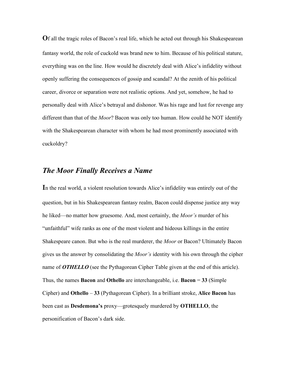**O**f all the tragic roles of Bacon's real life, which he acted out through his Shakespearean fantasy world, the role of cuckold was brand new to him. Because of his political stature, everything was on the line. How would he discretely deal with Alice's infidelity without openly suffering the consequences of gossip and scandal? At the zenith of his political career, divorce or separation were not realistic options. And yet, somehow, he had to personally deal with Alice's betrayal and dishonor. Was his rage and lust for revenge any different than that of the *Moor*? Bacon was only too human. How could he NOT identify with the Shakespearean character with whom he had most prominently associated with cuckoldry?

#### *The Moor Finally Receives a Name*

**I**n the real world, a violent resolution towards Alice's infidelity was entirely out of the question, but in his Shakespearean fantasy realm, Bacon could dispense justice any way he liked—no matter how gruesome. And, most certainly, the *Moor's* murder of his "unfaithful" wife ranks as one of the most violent and hideous killings in the entire Shakespeare canon. But who is the real murderer, the *Moor* or Bacon? Ultimately Bacon gives us the answer by consolidating the *Moor's* identity with his own through the cipher name of **OTHELLO** (see the Pythagorean Cipher Table given at the end of this article). Thus, the names **Bacon** and **Othello** are interchangeable, i.e. **Bacon** = **33** (Simple Cipher) and **Othello** – **33** (Pythagorean Cipher). In a brilliant stroke, **Alice Bacon** has been cast as **Desdemona's** proxy—grotesquely murdered by **OTHELLO**, the personification of Bacon's dark side.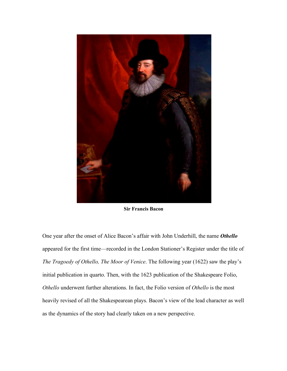

**Sir Francis Bacon**

One year after the onset of Alice Bacon's affair with John Underhill, the name *Othello* appeared for the first time—recorded in the London Stationer's Register under the title of *The Tragoedy of Othello, The Moor of Venice*. The following year (1622) saw the play's initial publication in quarto. Then, with the 1623 publication of the Shakespeare Folio, *Othello* underwent further alterations. In fact, the Folio version of *Othello* is the most heavily revised of all the Shakespearean plays. Bacon's view of the lead character as well as the dynamics of the story had clearly taken on a new perspective.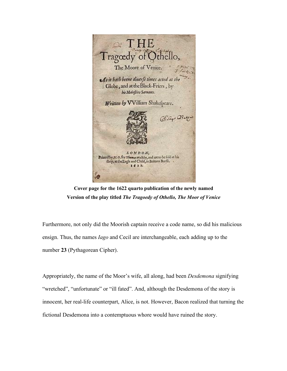

**Cover page for the 1622 quarto publication of the newly named Version of the play titled** *The Tragoedy of Othello, The Moor of Venice*

Furthermore, not only did the Moorish captain receive a code name, so did his malicious ensign. Thus, the names *Iago* and Cecil are interchangeable, each adding up to the number **23** (Pythagorean Cipher).

Appropriately, the name of the Moor's wife, all along, had been *Desdemona* signifying "wretched", "unfortunate" or "ill fated". And, although the Desdemona of the story is innocent, her real-life counterpart, Alice, is not. However, Bacon realized that turning the fictional Desdemona into a contemptuous whore would have ruined the story.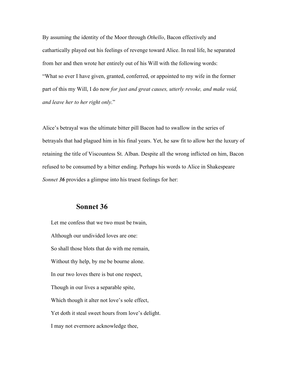By assuming the identity of the Moor through *Othello*, Bacon effectively and cathartically played out his feelings of revenge toward Alice. In real life, he separated from her and then wrote her entirely out of his Will with the following words: "What so ever I have given, granted, conferred, or appointed to my wife in the former part of this my Will, I do now *for just and great causes, utterly revoke, and make void, and leave her to her right only*."

Alice's betrayal was the ultimate bitter pill Bacon had to swallow in the series of betrayals that had plagued him in his final years. Yet, he saw fit to allow her the luxury of retaining the title of Viscountess St. Alban. Despite all the wrong inflicted on him, Bacon refused to be consumed by a bitter ending. Perhaps his words to Alice in Shakespeare *Sonnet 36* provides a glimpse into his truest feelings for her:

#### **Sonnet 36**

 Let me confess that we two must be twain, Although our undivided loves are one: So shall those blots that do with me remain, Without thy help, by me be bourne alone. In our two loves there is but one respect, Though in our lives a separable spite, Which though it alter not love's sole effect, Yet doth it steal sweet hours from love's delight. I may not evermore acknowledge thee,